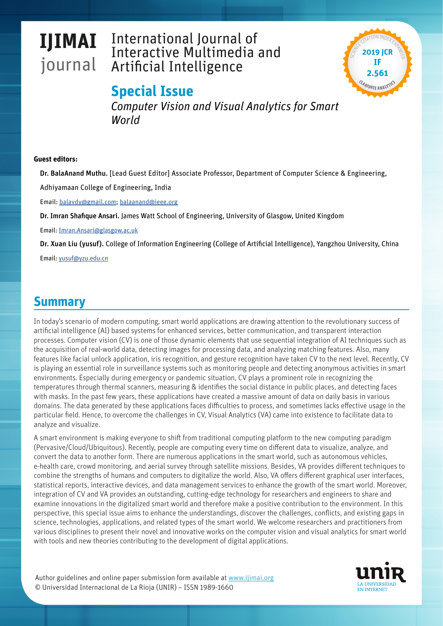# **IJIMAI** journal

# International Journal of Interactive Multimedia and Artificial Intelligence



## **Special Issue**

*Computer Vision and Visual Analytics for Smart World*

#### **Guest editors:**

Dr. BalaAnand Muthu. [Lead Guest Editor] Associate Professor, Department of Computer Science & Engineering,

Adhiyamaan College of Engineering, India

Email: [balavdy@gmail.com](mailto:balavdy%40gmail.com?subject=); [balaanand@ieee.org](mailto:%20balaanand%40ieee.org?subject=IJIMAI%20-%20Especial%20Issue%20Computer%20Vision%20and%20Visual%20Analytics%20for%20Smart%20World)

Dr. Imran Shafique Ansari. James Watt School of Engineering, University of Glasgow, United Kingdom

Email: [Imran.Ansari@glasgow.ac.uk](mailto:Imran.Ansari%40glasgow.ac.uk?subject=)

Dr. Xuan Liu (yusuf). College of Information Engineering (College of Artificial Intelligence), Yangzhou University, China

Email: yusuf@yzu.edu.cn

#### **Summary**

In today's scenario of modern computing, smart world applications are drawing attention to the revolutionary success of artificial intelligence (AI) based systems for enhanced services, better communication, and transparent interaction processes. Computer vision (CV) is one of those dynamic elements that use sequential integration of AI techniques such as the acquisition of real-world data, detecting images for processing data, and analyzing matching features. Also, many features like facial unlock application, iris recognition, and gesture recognition have taken CV to the next level. Recently, CV is playing an essential role in surveillance systems such as monitoring people and detecting anonymous activities in smart environments. Especially during emergency or pandemic situation, CV plays a prominent role in recognizing the temperatures through thermal scanners, measuring & identifies the social distance in public places, and detecting faces with masks. In the past few years, these applications have created a massive amount of data on daily basis in various domains. The data generated by these applications faces difficulties to process, and sometimes lacks effective usage in the particular field. Hence, to overcome the challenges in CV, Visual Analytics (VA) came into existence to facilitate data to analyze and visualize.

A smart environment is making everyone to shift from traditional computing platform to the new computing paradigm (Pervasive/Cloud/Ubiquitous). Recently, people are computing every time on different data to visualize, analyze, and convert the data to another form. There are numerous applications in the smart world, such as autonomous vehicles, e-health care, crowd monitoring, and aerial survey through satellite missions. Besides, VA provides different techniques to combine the strengths of humans and computers to digitalize the world. Also, VA offers different graphical user interfaces, statistical reports, interactive devices, and data management services to enhance the growth of the smart world. Moreover, integration of CV and VA provides an outstanding, cutting-edge technology for researchers and engineers to share and examine innovations in the digitalized smart world and therefore make a positive contribution to the environment. In this perspective, this special issue aims to enhance the understandings, discover the challenges, conflicts, and existing gaps in science, technologies, applications, and related types of the smart world. We welcome researchers and practitioners from various disciplines to present their novel and innovative works on the computer vision and visual analytics for smart world with tools and new theories contributing to the development of digital applications.

Author guidelines and online paper submission form available at www.ijimai.org © Universidad Internacional de La Rioja (UNIR) – ISSN 1989-1660